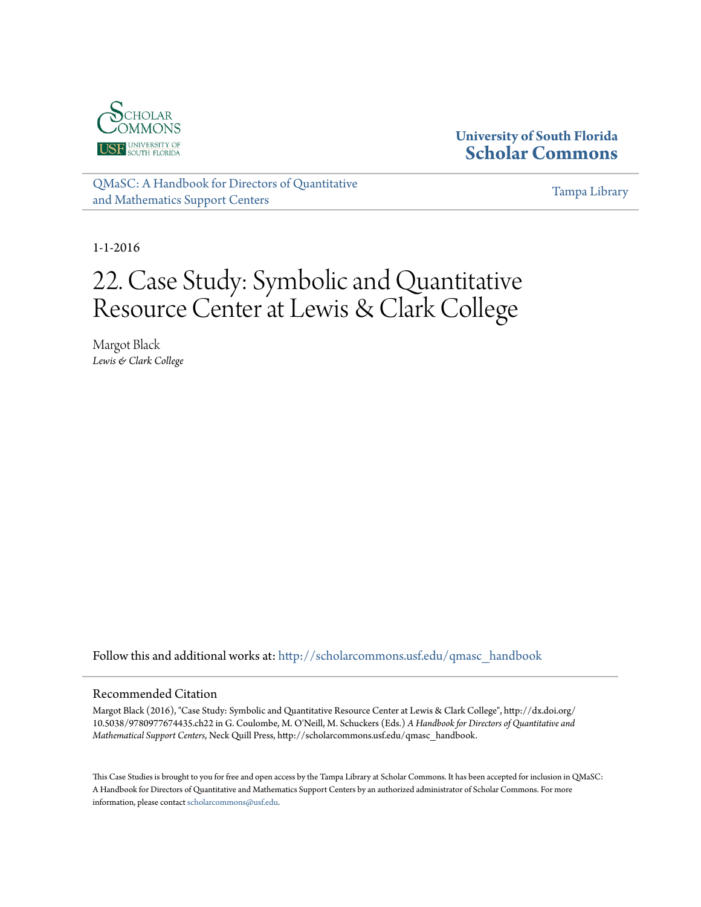

#### **University of South Florida [Scholar Commons](http://scholarcommons.usf.edu?utm_source=scholarcommons.usf.edu%2Fqmasc_handbook%2F22&utm_medium=PDF&utm_campaign=PDFCoverPages)**

[QMaSC: A Handbook for Directors of Quantitative](http://scholarcommons.usf.edu/qmasc_handbook?utm_source=scholarcommons.usf.edu%2Fqmasc_handbook%2F22&utm_medium=PDF&utm_campaign=PDFCoverPages) [and Mathematics Support Centers](http://scholarcommons.usf.edu/qmasc_handbook?utm_source=scholarcommons.usf.edu%2Fqmasc_handbook%2F22&utm_medium=PDF&utm_campaign=PDFCoverPages)

[Tampa Library](http://scholarcommons.usf.edu/tlib?utm_source=scholarcommons.usf.edu%2Fqmasc_handbook%2F22&utm_medium=PDF&utm_campaign=PDFCoverPages)

1-1-2016

## 22. Case Study: Symbolic and Quantitative Resource Center at Lewis & Clark College

Margot Black *Lewis & Clark College*

Follow this and additional works at: [http://scholarcommons.usf.edu/qmasc\\_handbook](http://scholarcommons.usf.edu/qmasc_handbook?utm_source=scholarcommons.usf.edu%2Fqmasc_handbook%2F22&utm_medium=PDF&utm_campaign=PDFCoverPages)

#### Recommended Citation

Margot Black (2016), "Case Study: Symbolic and Quantitative Resource Center at Lewis & Clark College", http://dx.doi.org/ 10.5038/9780977674435.ch22 in G. Coulombe, M. O'Neill, M. Schuckers (Eds.) *A Handbook for Directors of Quantitative and Mathematical Support Centers*, Neck Quill Press, http://scholarcommons.usf.edu/qmasc\_handbook.

This Case Studies is brought to you for free and open access by the Tampa Library at Scholar Commons. It has been accepted for inclusion in QMaSC: A Handbook for Directors of Quantitative and Mathematics Support Centers by an authorized administrator of Scholar Commons. For more information, please contact [scholarcommons@usf.edu.](mailto:scholarcommons@usf.edu)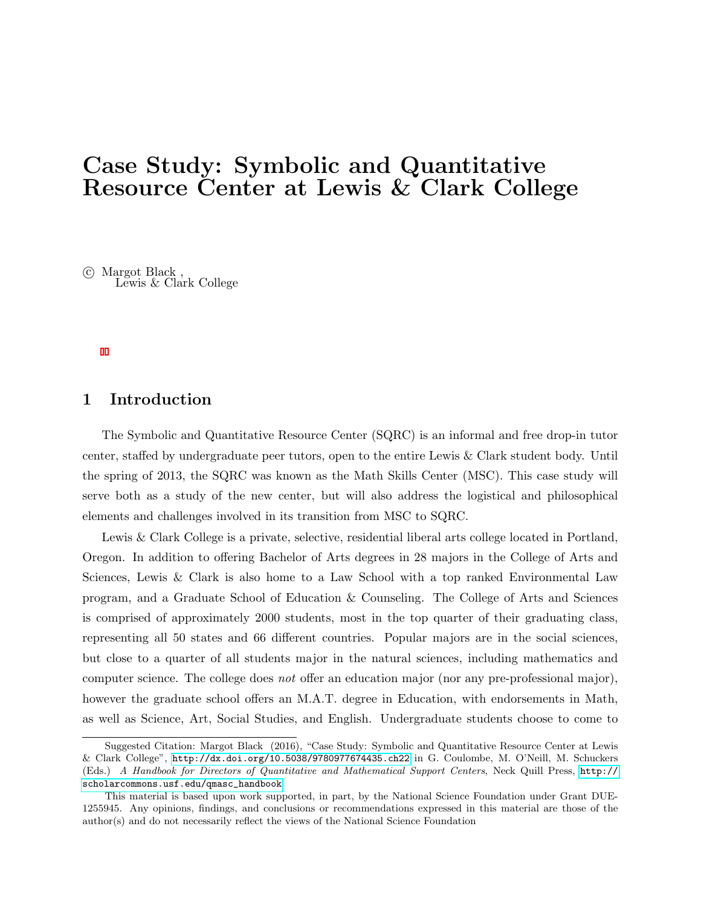## Case Study: Symbolic and Quantitative Resource Center at Lewis & Clark College

 c Margot Black , Lewis & Clark College

#### 1 Introduction

The Symbolic and Quantitative Resource Center (SQRC) is an informal and free drop-in tutor center, staffed by undergraduate peer tutors, open to the entire Lewis & Clark student body. Until the spring of 2013, the SQRC was known as the Math Skills Center (MSC). This case study will serve both as a study of the new center, but will also address the logistical and philosophical elements and challenges involved in its transition from MSC to SQRC.

Lewis & Clark College is a private, selective, residential liberal arts college located in Portland, Oregon. In addition to offering Bachelor of Arts degrees in 28 majors in the College of Arts and Sciences, Lewis & Clark is also home to a Law School with a top ranked Environmental Law program, and a Graduate School of Education & Counseling. The College of Arts and Sciences is comprised of approximately 2000 students, most in the top quarter of their graduating class, representing all 50 states and 66 different countries. Popular majors are in the social sciences, but close to a quarter of all students major in the natural sciences, including mathematics and computer science. The college does not offer an education major (nor any pre-professional major), however the graduate school offers an M.A.T. degree in Education, with endorsements in Math, as well as Science, Art, Social Studies, and English. Undergraduate students choose to come to

Suggested Citation: Margot Black (2016), "Case Study: Symbolic and Quantitative Resource Center at Lewis & Clark College", <http://dx.doi.org/10.5038/9780977674435.ch22> in G. Coulombe, M. O'Neill, M. Schuckers (Eds.) A Handbook for Directors of Quantitative and Mathematical Support Centers, Neck Quill Press, [http://](http://scholarcommons.usf.edu/qmasc_handbook) [scholarcommons.usf.edu/qmasc\\_handbook](http://scholarcommons.usf.edu/qmasc_handbook).

This material is based upon work supported, in part, by the National Science Foundation under Grant DUE-1255945. Any opinions, findings, and conclusions or recommendations expressed in this material are those of the author(s) and do not necessarily reflect the views of the National Science Foundation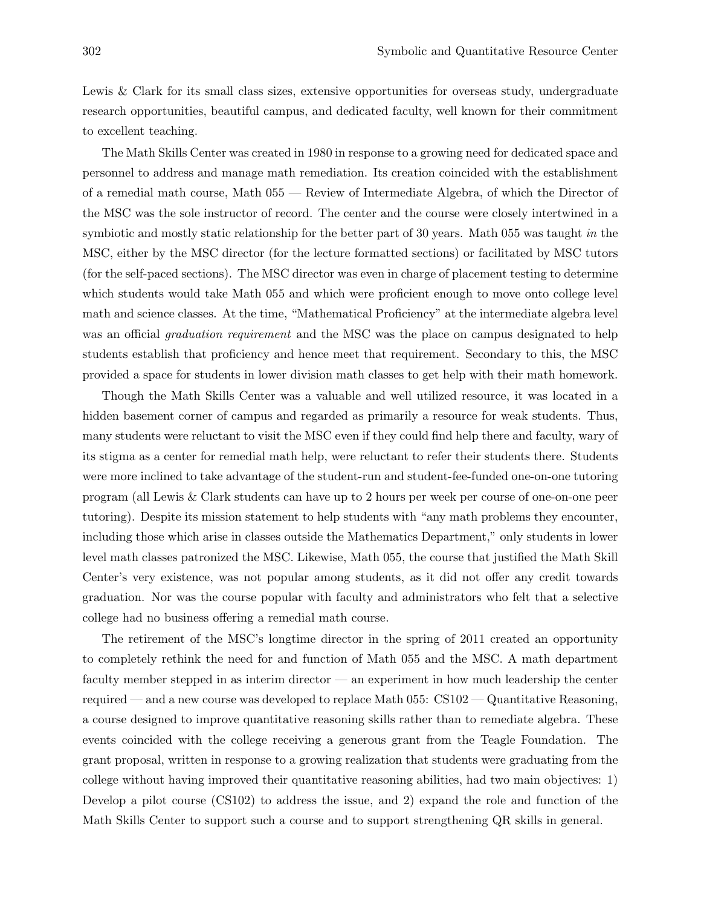Lewis & Clark for its small class sizes, extensive opportunities for overseas study, undergraduate research opportunities, beautiful campus, and dedicated faculty, well known for their commitment to excellent teaching.

The Math Skills Center was created in 1980 in response to a growing need for dedicated space and personnel to address and manage math remediation. Its creation coincided with the establishment of a remedial math course, Math 055 — Review of Intermediate Algebra, of which the Director of the MSC was the sole instructor of record. The center and the course were closely intertwined in a symbiotic and mostly static relationship for the better part of 30 years. Math 055 was taught in the MSC, either by the MSC director (for the lecture formatted sections) or facilitated by MSC tutors (for the self-paced sections). The MSC director was even in charge of placement testing to determine which students would take Math 055 and which were proficient enough to move onto college level math and science classes. At the time, "Mathematical Proficiency" at the intermediate algebra level was an official *graduation requirement* and the MSC was the place on campus designated to help students establish that proficiency and hence meet that requirement. Secondary to this, the MSC provided a space for students in lower division math classes to get help with their math homework.

Though the Math Skills Center was a valuable and well utilized resource, it was located in a hidden basement corner of campus and regarded as primarily a resource for weak students. Thus, many students were reluctant to visit the MSC even if they could find help there and faculty, wary of its stigma as a center for remedial math help, were reluctant to refer their students there. Students were more inclined to take advantage of the student-run and student-fee-funded one-on-one tutoring program (all Lewis & Clark students can have up to 2 hours per week per course of one-on-one peer tutoring). Despite its mission statement to help students with "any math problems they encounter, including those which arise in classes outside the Mathematics Department," only students in lower level math classes patronized the MSC. Likewise, Math 055, the course that justified the Math Skill Center's very existence, was not popular among students, as it did not offer any credit towards graduation. Nor was the course popular with faculty and administrators who felt that a selective college had no business offering a remedial math course.

The retirement of the MSC's longtime director in the spring of 2011 created an opportunity to completely rethink the need for and function of Math 055 and the MSC. A math department faculty member stepped in as interim director — an experiment in how much leadership the center required — and a new course was developed to replace Math 055: CS102 — Quantitative Reasoning, a course designed to improve quantitative reasoning skills rather than to remediate algebra. These events coincided with the college receiving a generous grant from the Teagle Foundation. The grant proposal, written in response to a growing realization that students were graduating from the college without having improved their quantitative reasoning abilities, had two main objectives: 1) Develop a pilot course (CS102) to address the issue, and 2) expand the role and function of the Math Skills Center to support such a course and to support strengthening QR skills in general.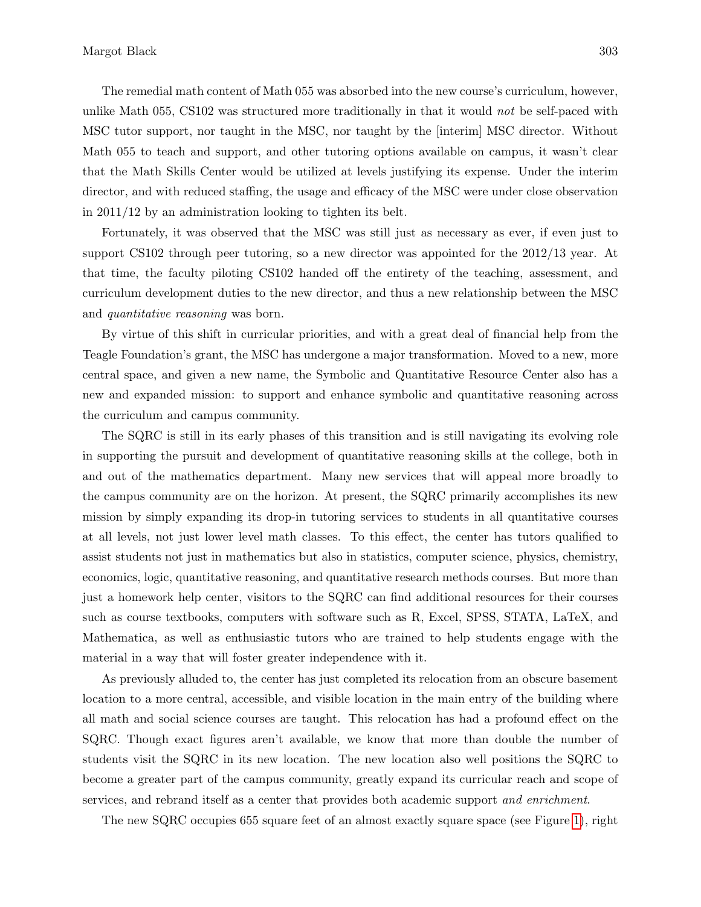The remedial math content of Math 055 was absorbed into the new course's curriculum, however, unlike Math 055, CS102 was structured more traditionally in that it would not be self-paced with MSC tutor support, nor taught in the MSC, nor taught by the [interim] MSC director. Without Math 055 to teach and support, and other tutoring options available on campus, it wasn't clear that the Math Skills Center would be utilized at levels justifying its expense. Under the interim director, and with reduced staffing, the usage and efficacy of the MSC were under close observation in 2011/12 by an administration looking to tighten its belt.

Fortunately, it was observed that the MSC was still just as necessary as ever, if even just to support CS102 through peer tutoring, so a new director was appointed for the 2012/13 year. At that time, the faculty piloting CS102 handed off the entirety of the teaching, assessment, and curriculum development duties to the new director, and thus a new relationship between the MSC and quantitative reasoning was born.

By virtue of this shift in curricular priorities, and with a great deal of financial help from the Teagle Foundation's grant, the MSC has undergone a major transformation. Moved to a new, more central space, and given a new name, the Symbolic and Quantitative Resource Center also has a new and expanded mission: to support and enhance symbolic and quantitative reasoning across the curriculum and campus community.

The SQRC is still in its early phases of this transition and is still navigating its evolving role in supporting the pursuit and development of quantitative reasoning skills at the college, both in and out of the mathematics department. Many new services that will appeal more broadly to the campus community are on the horizon. At present, the SQRC primarily accomplishes its new mission by simply expanding its drop-in tutoring services to students in all quantitative courses at all levels, not just lower level math classes. To this effect, the center has tutors qualified to assist students not just in mathematics but also in statistics, computer science, physics, chemistry, economics, logic, quantitative reasoning, and quantitative research methods courses. But more than just a homework help center, visitors to the SQRC can find additional resources for their courses such as course textbooks, computers with software such as R, Excel, SPSS, STATA, LaTeX, and Mathematica, as well as enthusiastic tutors who are trained to help students engage with the material in a way that will foster greater independence with it.

As previously alluded to, the center has just completed its relocation from an obscure basement location to a more central, accessible, and visible location in the main entry of the building where all math and social science courses are taught. This relocation has had a profound effect on the SQRC. Though exact figures aren't available, we know that more than double the number of students visit the SQRC in its new location. The new location also well positions the SQRC to become a greater part of the campus community, greatly expand its curricular reach and scope of services, and rebrand itself as a center that provides both academic support and enrichment.

The new SQRC occupies 655 square feet of an almost exactly square space (see Figure 1), right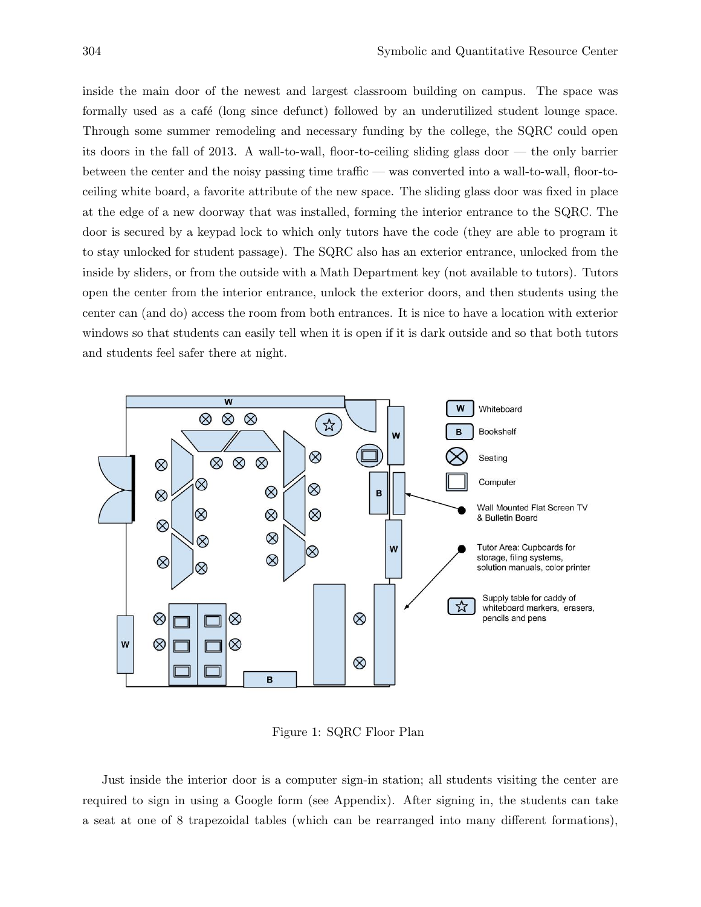inside the main door of the newest and largest classroom building on campus. The space was formally used as a café (long since defunct) followed by an underutilized student lounge space. Through some summer remodeling and necessary funding by the college, the SQRC could open its doors in the fall of 2013. A wall-to-wall, floor-to-ceiling sliding glass door — the only barrier between the center and the noisy passing time traffic — was converted into a wall-to-wall, floor-toceiling white board, a favorite attribute of the new space. The sliding glass door was fixed in place at the edge of a new doorway that was installed, forming the interior entrance to the SQRC. The door is secured by a keypad lock to which only tutors have the code (they are able to program it to stay unlocked for student passage). The SQRC also has an exterior entrance, unlocked from the inside by sliders, or from the outside with a Math Department key (not available to tutors). Tutors open the center from the interior entrance, unlock the exterior doors, and then students using the center can (and do) access the room from both entrances. It is nice to have a location with exterior windows so that students can easily tell when it is open if it is dark outside and so that both tutors and students feel safer there at night.



Figure 1: SQRC Floor Plan

Just inside the interior door is a computer sign-in station; all students visiting the center are required to sign in using a Google form (see Appendix). After signing in, the students can take a seat at one of 8 trapezoidal tables (which can be rearranged into many different formations),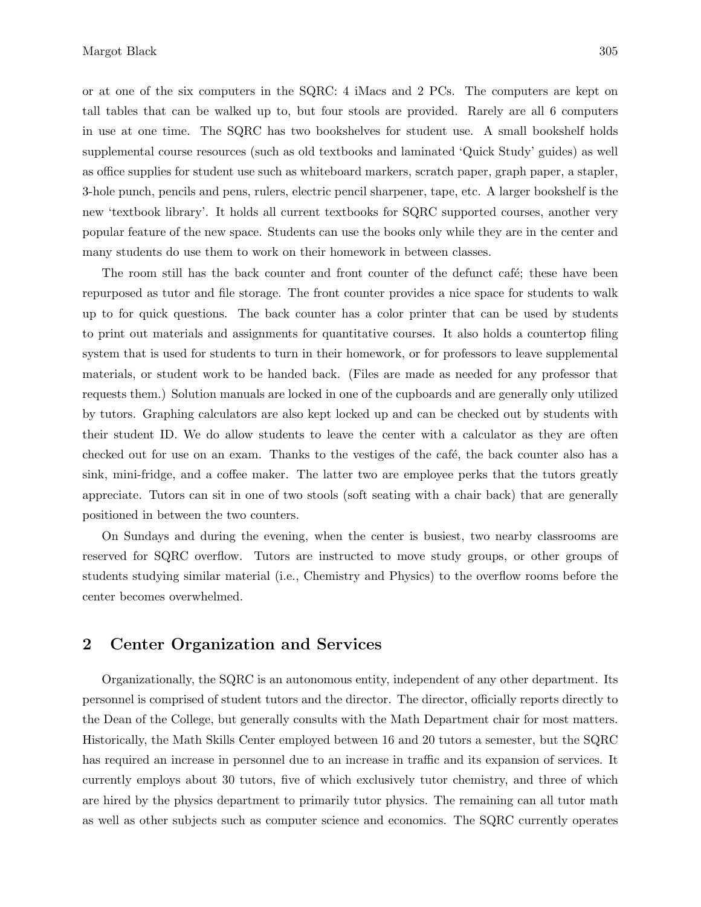or at one of the six computers in the SQRC: 4 iMacs and 2 PCs. The computers are kept on tall tables that can be walked up to, but four stools are provided. Rarely are all 6 computers in use at one time. The SQRC has two bookshelves for student use. A small bookshelf holds supplemental course resources (such as old textbooks and laminated 'Quick Study' guides) as well as office supplies for student use such as whiteboard markers, scratch paper, graph paper, a stapler, 3-hole punch, pencils and pens, rulers, electric pencil sharpener, tape, etc. A larger bookshelf is the new 'textbook library'. It holds all current textbooks for SQRC supported courses, another very popular feature of the new space. Students can use the books only while they are in the center and many students do use them to work on their homework in between classes.

The room still has the back counter and front counter of the defunct café; these have been repurposed as tutor and file storage. The front counter provides a nice space for students to walk up to for quick questions. The back counter has a color printer that can be used by students to print out materials and assignments for quantitative courses. It also holds a countertop filing system that is used for students to turn in their homework, or for professors to leave supplemental materials, or student work to be handed back. (Files are made as needed for any professor that requests them.) Solution manuals are locked in one of the cupboards and are generally only utilized by tutors. Graphing calculators are also kept locked up and can be checked out by students with their student ID. We do allow students to leave the center with a calculator as they are often checked out for use on an exam. Thanks to the vestiges of the café, the back counter also has a sink, mini-fridge, and a coffee maker. The latter two are employee perks that the tutors greatly appreciate. Tutors can sit in one of two stools (soft seating with a chair back) that are generally positioned in between the two counters.

On Sundays and during the evening, when the center is busiest, two nearby classrooms are reserved for SQRC overflow. Tutors are instructed to move study groups, or other groups of students studying similar material (i.e., Chemistry and Physics) to the overflow rooms before the center becomes overwhelmed.

#### 2 Center Organization and Services

Organizationally, the SQRC is an autonomous entity, independent of any other department. Its personnel is comprised of student tutors and the director. The director, officially reports directly to the Dean of the College, but generally consults with the Math Department chair for most matters. Historically, the Math Skills Center employed between 16 and 20 tutors a semester, but the SQRC has required an increase in personnel due to an increase in traffic and its expansion of services. It currently employs about 30 tutors, five of which exclusively tutor chemistry, and three of which are hired by the physics department to primarily tutor physics. The remaining can all tutor math as well as other subjects such as computer science and economics. The SQRC currently operates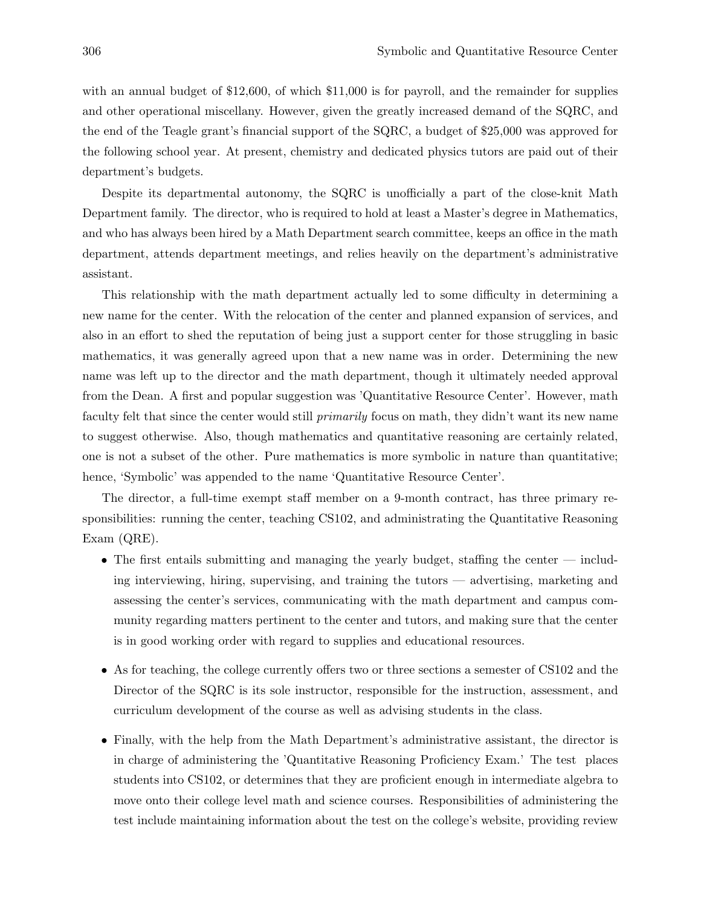with an annual budget of \$12,600, of which \$11,000 is for payroll, and the remainder for supplies and other operational miscellany. However, given the greatly increased demand of the SQRC, and the end of the Teagle grant's financial support of the SQRC, a budget of \$25,000 was approved for the following school year. At present, chemistry and dedicated physics tutors are paid out of their department's budgets.

Despite its departmental autonomy, the SQRC is unofficially a part of the close-knit Math Department family. The director, who is required to hold at least a Master's degree in Mathematics, and who has always been hired by a Math Department search committee, keeps an office in the math department, attends department meetings, and relies heavily on the department's administrative assistant.

This relationship with the math department actually led to some difficulty in determining a new name for the center. With the relocation of the center and planned expansion of services, and also in an effort to shed the reputation of being just a support center for those struggling in basic mathematics, it was generally agreed upon that a new name was in order. Determining the new name was left up to the director and the math department, though it ultimately needed approval from the Dean. A first and popular suggestion was 'Quantitative Resource Center'. However, math faculty felt that since the center would still primarily focus on math, they didn't want its new name to suggest otherwise. Also, though mathematics and quantitative reasoning are certainly related, one is not a subset of the other. Pure mathematics is more symbolic in nature than quantitative; hence, 'Symbolic' was appended to the name 'Quantitative Resource Center'.

The director, a full-time exempt staff member on a 9-month contract, has three primary responsibilities: running the center, teaching CS102, and administrating the Quantitative Reasoning Exam (QRE).

- The first entails submitting and managing the yearly budget, staffing the center including interviewing, hiring, supervising, and training the tutors — advertising, marketing and assessing the center's services, communicating with the math department and campus community regarding matters pertinent to the center and tutors, and making sure that the center is in good working order with regard to supplies and educational resources.
- As for teaching, the college currently offers two or three sections a semester of CS102 and the Director of the SQRC is its sole instructor, responsible for the instruction, assessment, and curriculum development of the course as well as advising students in the class.
- Finally, with the help from the Math Department's administrative assistant, the director is in charge of administering the 'Quantitative Reasoning Proficiency Exam.' The test places students into CS102, or determines that they are proficient enough in intermediate algebra to move onto their college level math and science courses. Responsibilities of administering the test include maintaining information about the test on the college's website, providing review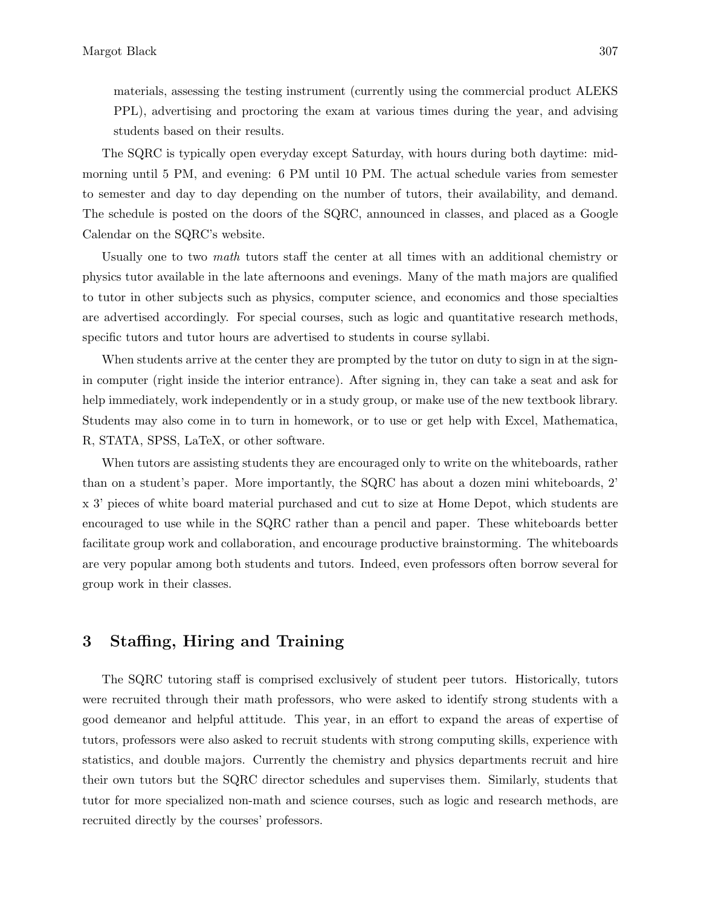materials, assessing the testing instrument (currently using the commercial product ALEKS PPL), advertising and proctoring the exam at various times during the year, and advising students based on their results.

The SQRC is typically open everyday except Saturday, with hours during both daytime: midmorning until 5 PM, and evening: 6 PM until 10 PM. The actual schedule varies from semester to semester and day to day depending on the number of tutors, their availability, and demand. The schedule is posted on the doors of the SQRC, announced in classes, and placed as a Google Calendar on the SQRC's website.

Usually one to two math tutors staff the center at all times with an additional chemistry or physics tutor available in the late afternoons and evenings. Many of the math majors are qualified to tutor in other subjects such as physics, computer science, and economics and those specialties are advertised accordingly. For special courses, such as logic and quantitative research methods, specific tutors and tutor hours are advertised to students in course syllabi.

When students arrive at the center they are prompted by the tutor on duty to sign in at the signin computer (right inside the interior entrance). After signing in, they can take a seat and ask for help immediately, work independently or in a study group, or make use of the new textbook library. Students may also come in to turn in homework, or to use or get help with Excel, Mathematica, R, STATA, SPSS, LaTeX, or other software.

When tutors are assisting students they are encouraged only to write on the whiteboards, rather than on a student's paper. More importantly, the SQRC has about a dozen mini whiteboards, 2' x 3' pieces of white board material purchased and cut to size at Home Depot, which students are encouraged to use while in the SQRC rather than a pencil and paper. These whiteboards better facilitate group work and collaboration, and encourage productive brainstorming. The whiteboards are very popular among both students and tutors. Indeed, even professors often borrow several for group work in their classes.

#### 3 Staffing, Hiring and Training

The SQRC tutoring staff is comprised exclusively of student peer tutors. Historically, tutors were recruited through their math professors, who were asked to identify strong students with a good demeanor and helpful attitude. This year, in an effort to expand the areas of expertise of tutors, professors were also asked to recruit students with strong computing skills, experience with statistics, and double majors. Currently the chemistry and physics departments recruit and hire their own tutors but the SQRC director schedules and supervises them. Similarly, students that tutor for more specialized non-math and science courses, such as logic and research methods, are recruited directly by the courses' professors.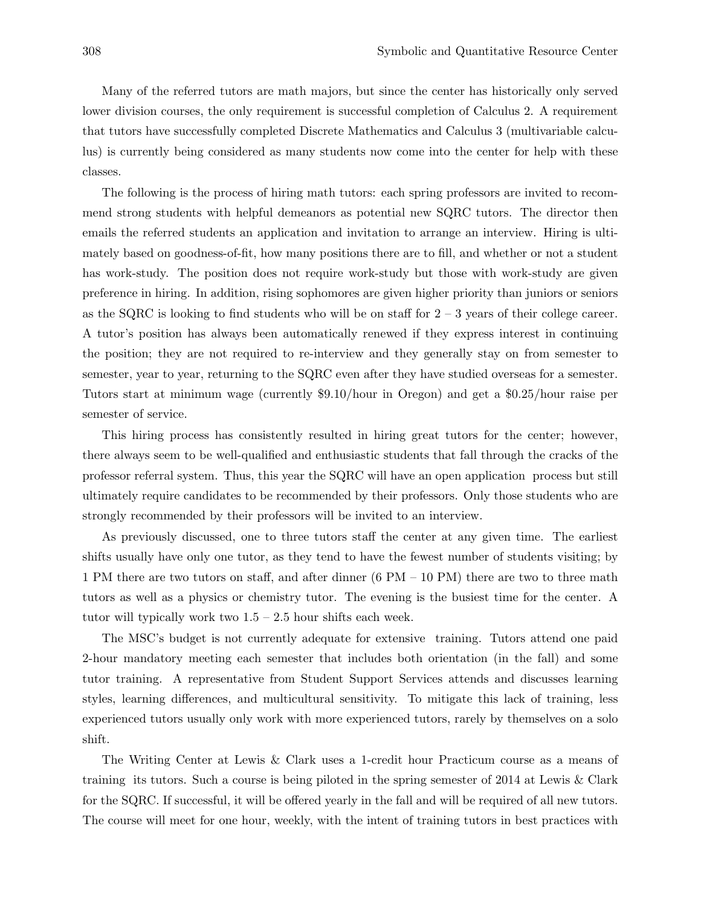Many of the referred tutors are math majors, but since the center has historically only served lower division courses, the only requirement is successful completion of Calculus 2. A requirement that tutors have successfully completed Discrete Mathematics and Calculus 3 (multivariable calculus) is currently being considered as many students now come into the center for help with these classes.

The following is the process of hiring math tutors: each spring professors are invited to recommend strong students with helpful demeanors as potential new SQRC tutors. The director then emails the referred students an application and invitation to arrange an interview. Hiring is ultimately based on goodness-of-fit, how many positions there are to fill, and whether or not a student has work-study. The position does not require work-study but those with work-study are given preference in hiring. In addition, rising sophomores are given higher priority than juniors or seniors as the SQRC is looking to find students who will be on staff for  $2 - 3$  years of their college career. A tutor's position has always been automatically renewed if they express interest in continuing the position; they are not required to re-interview and they generally stay on from semester to semester, year to year, returning to the SQRC even after they have studied overseas for a semester. Tutors start at minimum wage (currently \$9.10/hour in Oregon) and get a \$0.25/hour raise per semester of service.

This hiring process has consistently resulted in hiring great tutors for the center; however, there always seem to be well-qualified and enthusiastic students that fall through the cracks of the professor referral system. Thus, this year the SQRC will have an open application process but still ultimately require candidates to be recommended by their professors. Only those students who are strongly recommended by their professors will be invited to an interview.

As previously discussed, one to three tutors staff the center at any given time. The earliest shifts usually have only one tutor, as they tend to have the fewest number of students visiting; by 1 PM there are two tutors on staff, and after dinner (6 PM – 10 PM) there are two to three math tutors as well as a physics or chemistry tutor. The evening is the busiest time for the center. A tutor will typically work two  $1.5 - 2.5$  hour shifts each week.

The MSC's budget is not currently adequate for extensive training. Tutors attend one paid 2-hour mandatory meeting each semester that includes both orientation (in the fall) and some tutor training. A representative from Student Support Services attends and discusses learning styles, learning differences, and multicultural sensitivity. To mitigate this lack of training, less experienced tutors usually only work with more experienced tutors, rarely by themselves on a solo shift.

The Writing Center at Lewis & Clark uses a 1-credit hour Practicum course as a means of training its tutors. Such a course is being piloted in the spring semester of 2014 at Lewis & Clark for the SQRC. If successful, it will be offered yearly in the fall and will be required of all new tutors. The course will meet for one hour, weekly, with the intent of training tutors in best practices with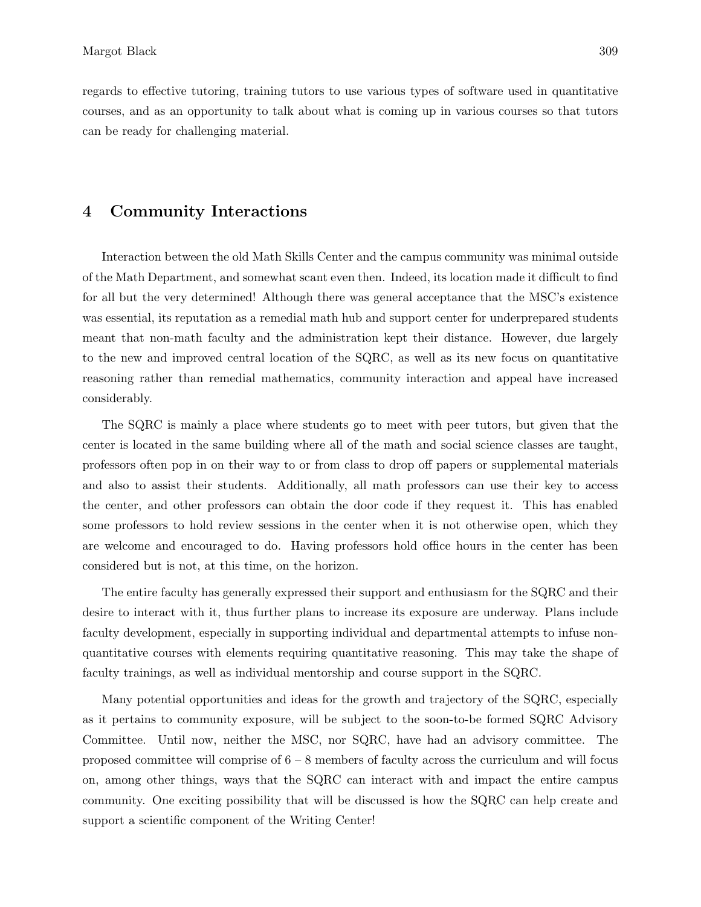#### 4 Community Interactions

Interaction between the old Math Skills Center and the campus community was minimal outside of the Math Department, and somewhat scant even then. Indeed, its location made it difficult to find for all but the very determined! Although there was general acceptance that the MSC's existence was essential, its reputation as a remedial math hub and support center for underprepared students meant that non-math faculty and the administration kept their distance. However, due largely to the new and improved central location of the SQRC, as well as its new focus on quantitative reasoning rather than remedial mathematics, community interaction and appeal have increased considerably.

The SQRC is mainly a place where students go to meet with peer tutors, but given that the center is located in the same building where all of the math and social science classes are taught, professors often pop in on their way to or from class to drop off papers or supplemental materials and also to assist their students. Additionally, all math professors can use their key to access the center, and other professors can obtain the door code if they request it. This has enabled some professors to hold review sessions in the center when it is not otherwise open, which they are welcome and encouraged to do. Having professors hold office hours in the center has been considered but is not, at this time, on the horizon.

The entire faculty has generally expressed their support and enthusiasm for the SQRC and their desire to interact with it, thus further plans to increase its exposure are underway. Plans include faculty development, especially in supporting individual and departmental attempts to infuse nonquantitative courses with elements requiring quantitative reasoning. This may take the shape of faculty trainings, as well as individual mentorship and course support in the SQRC.

Many potential opportunities and ideas for the growth and trajectory of the SQRC, especially as it pertains to community exposure, will be subject to the soon-to-be formed SQRC Advisory Committee. Until now, neither the MSC, nor SQRC, have had an advisory committee. The proposed committee will comprise of  $6 - 8$  members of faculty across the curriculum and will focus on, among other things, ways that the SQRC can interact with and impact the entire campus community. One exciting possibility that will be discussed is how the SQRC can help create and support a scientific component of the Writing Center!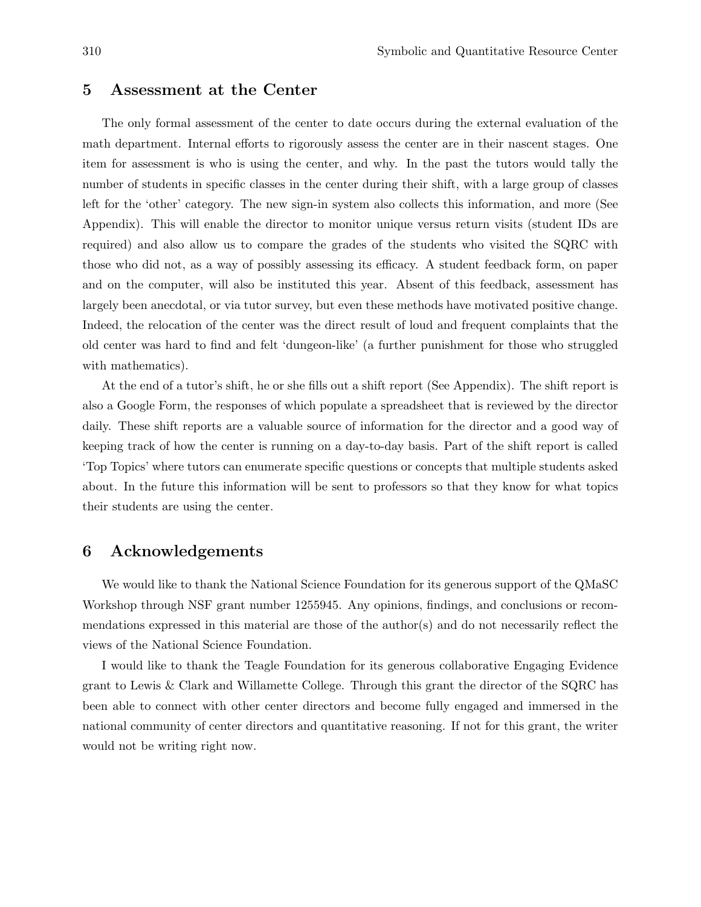#### 5 Assessment at the Center

The only formal assessment of the center to date occurs during the external evaluation of the math department. Internal efforts to rigorously assess the center are in their nascent stages. One item for assessment is who is using the center, and why. In the past the tutors would tally the number of students in specific classes in the center during their shift, with a large group of classes left for the 'other' category. The new sign-in system also collects this information, and more (See Appendix). This will enable the director to monitor unique versus return visits (student IDs are required) and also allow us to compare the grades of the students who visited the SQRC with those who did not, as a way of possibly assessing its efficacy. A student feedback form, on paper and on the computer, will also be instituted this year. Absent of this feedback, assessment has largely been anecdotal, or via tutor survey, but even these methods have motivated positive change. Indeed, the relocation of the center was the direct result of loud and frequent complaints that the old center was hard to find and felt 'dungeon-like' (a further punishment for those who struggled with mathematics).

At the end of a tutor's shift, he or she fills out a shift report (See Appendix). The shift report is also a Google Form, the responses of which populate a spreadsheet that is reviewed by the director daily. These shift reports are a valuable source of information for the director and a good way of keeping track of how the center is running on a day-to-day basis. Part of the shift report is called 'Top Topics' where tutors can enumerate specific questions or concepts that multiple students asked about. In the future this information will be sent to professors so that they know for what topics their students are using the center.

#### 6 Acknowledgements

We would like to thank the National Science Foundation for its generous support of the QMaSC Workshop through NSF grant number 1255945. Any opinions, findings, and conclusions or recommendations expressed in this material are those of the author(s) and do not necessarily reflect the views of the National Science Foundation.

I would like to thank the Teagle Foundation for its generous collaborative Engaging Evidence grant to Lewis & Clark and Willamette College. Through this grant the director of the SQRC has been able to connect with other center directors and become fully engaged and immersed in the national community of center directors and quantitative reasoning. If not for this grant, the writer would not be writing right now.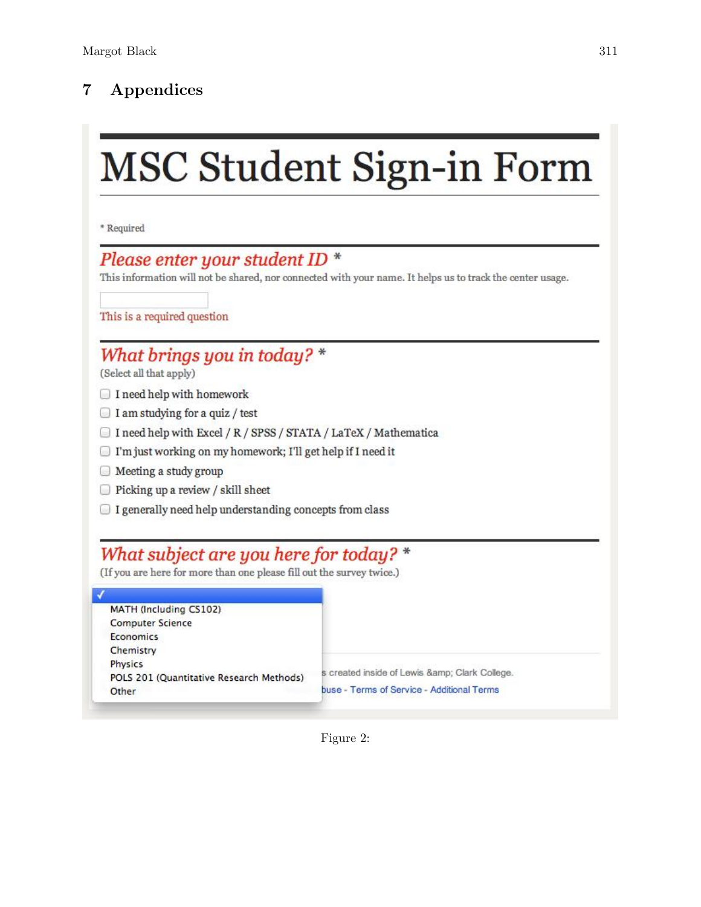## 7 Appendices

# **MSC Student Sign-in Form**

\* Required

### Please enter your student ID \*

This information will not be shared, nor connected with your name. It helps us to track the center usage.

This is a required question

## What brings you in today? \*

(Select all that apply)

- I need help with homework
- $\Box$  I am studying for a quiz / test
- □ I need help with Excel / R / SPSS / STATA / LaTeX / Mathematica
- T'm just working on my homework; I'll get help if I need it
- Meeting a study group
- $\Box$  Picking up a review / skill sheet
- □ I generally need help understanding concepts from class

## What subject are you here for today? \*

(If you are here for more than one please fill out the survey twice.)

| s created inside of Lewis & Clark College. |
|--------------------------------------------|
| buse - Terms of Service - Additional Terms |
|                                            |